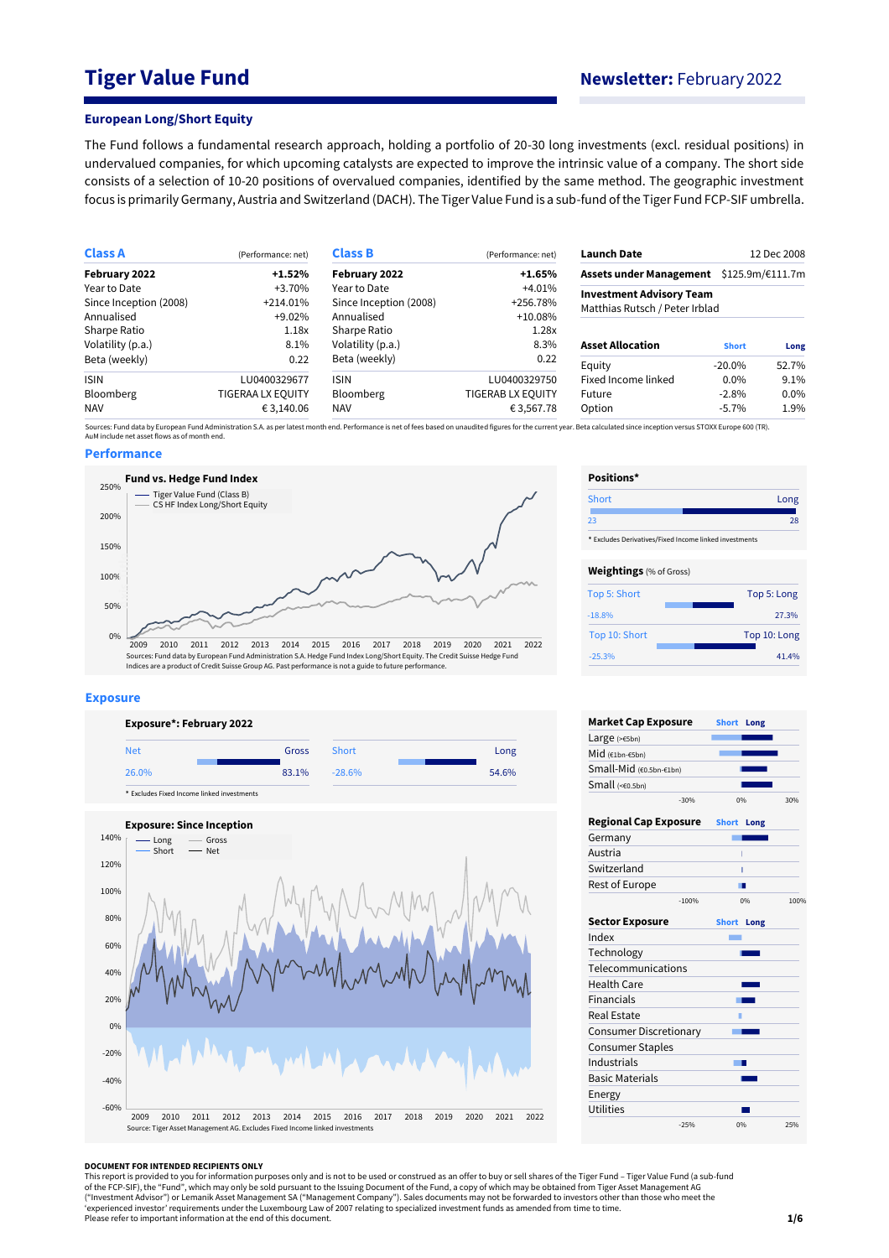# **Tiger Value Fund Newsletter:** February 2022

#### **European Long/Short Equity**

The Fund follows a fundamental research approach, holding a portfolio of 20-30 long investments (excl. residual positions) in undervalued companies, for which upcoming catalysts are expected to improve the intrinsic value of a company. The short side consists of a selection of 10-20 positions of overvalued companies, identified by the same method. The geographic investment focus is primarily Germany, Austria and Switzerland (DACH). The Tiger Value Fund is a sub-fund of the Tiger Fund FCP-SIF umbrella.

| <b>Class A</b>         | (Performance: net)       | <b>Class B</b>                                       | (Performance: net)              | <b>Launch Date</b>             |              | 12 Dec 2008      |
|------------------------|--------------------------|------------------------------------------------------|---------------------------------|--------------------------------|--------------|------------------|
| February 2022          | +1.52%                   | February 2022<br>Assets under Management<br>$+1.65%$ |                                 |                                |              | \$125.9m/€111.7m |
| Year to Date           | +3.70%                   | Year to Date                                         | <b>Investment Advisory Team</b> |                                |              |                  |
| Since Inception (2008) | $+214.01\%$              | Since Inception (2008)                               | +256.78%                        | Matthias Rutsch / Peter Irblad |              |                  |
| Annualised             | +9.02%                   | Annualised                                           | $+10.08\%$                      |                                |              |                  |
| Sharpe Ratio           | 1.18x                    | Sharpe Ratio                                         | 1.28x                           |                                |              |                  |
| Volatility (p.a.)      | 8.1%                     | Volatility (p.a.)                                    | 8.3%                            | <b>Asset Allocation</b>        | <b>Short</b> | Long             |
| Beta (weekly)          | 0.22                     | Beta (weekly)                                        | 0.22                            | Equity                         | $-20.0\%$    | 52.7%            |
| <b>ISIN</b>            | LU0400329677             | <b>ISIN</b>                                          | LU0400329750                    | Fixed Income linked            | $0.0\%$      | 9.1%             |
| <b>Bloomberg</b>       | <b>TIGERAA LX EQUITY</b> | <b>Bloomberg</b>                                     | <b>TIGERAB LX EQUITY</b>        | Future                         | $-2.8%$      | 0.0%             |
| <b>NAV</b>             | € 3,140.06               | <b>NAV</b>                                           | €3,567.78                       | Option                         | $-5.7\%$     | 1.9%             |

Sources: Fund data by European Fund Administration S.A. as per latest month end. Performance is net of fees based on unaudited figures for the current year. Beta calculated since inception versus STOXX Europe 600 (TR).<br>AuM

### **Performance**



#### **Exposure**





| Positions*                                             |              |
|--------------------------------------------------------|--------------|
| Short                                                  | Long         |
| つろ                                                     | 28           |
| * Excludes Derivatives/Fixed Income linked investments |              |
| <b>Weightings</b> (% of Gross)                         |              |
| Top 5: Short                                           | Top 5: Long  |
| $-18.8%$                                               | 27.3%        |
| Top 10: Short                                          | Top 10: Long |
| $-25.3%$                                               | 41.4%        |

| <b>Market Cap Exposure</b>    |         | <b>Short</b> | Long |      |
|-------------------------------|---------|--------------|------|------|
| Large $(>=5bn)$               |         |              |      |      |
| Mid (€1bn-€5bn)               |         |              |      |      |
| Small-Mid (€0.5bn-€1bn)       |         |              |      |      |
| Small (<0.5bn)                |         |              |      |      |
|                               | $-30%$  |              | 0%   | 30%  |
| <b>Regional Cap Exposure</b>  |         | <b>Short</b> | Long |      |
| Germany                       |         |              |      |      |
| Austria                       |         |              |      |      |
| Switzerland                   |         |              | ī    |      |
| Rest of Europe                |         |              | - 11 |      |
|                               | $-100%$ |              | 0%   | 100% |
| <b>Sector Exposure</b>        |         | Short Long   |      |      |
| Index                         |         |              |      |      |
| Technology                    |         |              |      |      |
| Telecommunications            |         |              |      |      |
| <b>Health Care</b>            |         |              |      |      |
| <b>Financials</b>             |         |              |      |      |
| Real Estate                   |         | ٠            |      |      |
| <b>Consumer Discretionary</b> |         |              |      |      |
| <b>Consumer Staples</b>       |         |              |      |      |
| Industrials                   |         |              | . .  |      |
| <b>Basic Materials</b>        |         |              |      |      |
| Energy                        |         |              |      |      |
| <b>Utilities</b>              |         |              |      |      |
|                               | $-25%$  |              | 0%   | 25%  |

#### **DOCUMENT FOR INTENDED RECIPIENTS ONLY**

This report is provided to you for information purposes only and is not to be used or construed as an offer to buy or sell shares of the Tiger Fund – Tiger Value Fund (a sub-fund<br>of the FCP-SIF), the "Fund", which may only ("Investment Advisor") or Lemanik Asset Management SA ("Management Company"). Sales documents may not be forwarded to investors other than those who meet the<br>'experienced investor' requirements under the Luxembourg Law of Please refer to important information at the end of this document.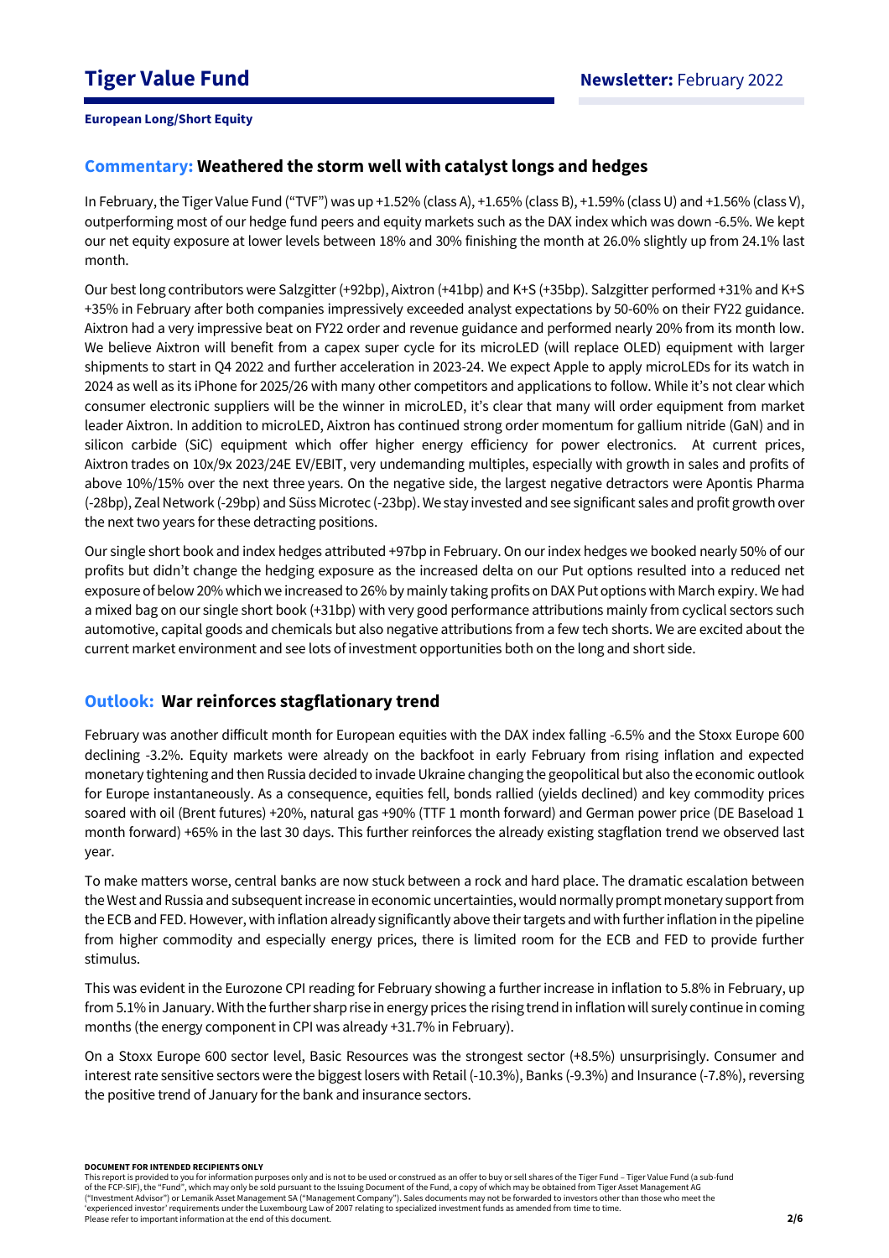## **Commentary: Weathered the storm well with catalyst longs and hedges**

In February, the Tiger Value Fund ("TVF") was up +1.52% (class A), +1.65% (class B), +1.59% (class U) and +1.56% (class V), outperforming most of our hedge fund peers and equity markets such as the DAX index which was down -6.5%. We kept our net equity exposure at lower levels between 18% and 30% finishing the month at 26.0% slightly up from 24.1% last month.

Our best long contributors were Salzgitter(+92bp), Aixtron (+41bp) and K+S (+35bp). Salzgitter performed +31% and K+S +35% in February after both companies impressively exceeded analyst expectations by 50-60% on their FY22 guidance. Aixtron had a very impressive beat on FY22 order and revenue guidance and performed nearly 20% from its month low. We believe Aixtron will benefit from a capex super cycle for its microLED (will replace OLED) equipment with larger shipments to start in Q4 2022 and further acceleration in 2023-24. We expect Apple to apply microLEDs for its watch in 2024 as well as its iPhone for 2025/26 with many other competitors and applications to follow. While it's not clear which consumer electronic suppliers will be the winner in microLED, it's clear that many will order equipment from market leader Aixtron. In addition to microLED, Aixtron has continued strong order momentum for gallium nitride (GaN) and in silicon carbide (SiC) equipment which offer higher energy efficiency for power electronics. At current prices, Aixtron trades on 10x/9x 2023/24E EV/EBIT, very undemanding multiples, especially with growth in sales and profits of above 10%/15% over the next three years. On the negative side, the largest negative detractors were Apontis Pharma (-28bp), Zeal Network (-29bp) and Süss Microtec (-23bp). We stay invested and see significant sales and profit growth over the next two years for these detracting positions.

Our single short book and index hedges attributed +97bp in February. On our index hedges we booked nearly 50% of our profits but didn't change the hedging exposure as the increased delta on our Put options resulted into a reduced net exposure of below 20% which we increased to 26% by mainly taking profits on DAX Put options with March expiry. We had a mixed bag on our single short book (+31bp) with very good performance attributions mainly from cyclical sectors such automotive, capital goods and chemicals but also negative attributions from a few tech shorts. We are excited about the current market environment and see lots of investment opportunities both on the long and short side.

### **Outlook: War reinforces stagflationary trend**

February was another difficult month for European equities with the DAX index falling -6.5% and the Stoxx Europe 600 declining -3.2%. Equity markets were already on the backfoot in early February from rising inflation and expected monetary tightening and then Russia decided to invade Ukraine changing the geopolitical but also the economic outlook for Europe instantaneously. As a consequence, equities fell, bonds rallied (yields declined) and key commodity prices soared with oil (Brent futures) +20%, natural gas +90% (TTF 1 month forward) and German power price (DE Baseload 1 month forward) +65% in the last 30 days. This further reinforces the already existing stagflation trend we observed last year.

To make matters worse, central banks are now stuck between a rock and hard place. The dramatic escalation between the West and Russia and subsequent increase in economic uncertainties, would normally prompt monetary support from the ECB and FED. However, with inflation already significantly above their targets and with further inflation in the pipeline from higher commodity and especially energy prices, there is limited room for the ECB and FED to provide further stimulus.

This was evident in the Eurozone CPI reading for February showing a further increase in inflation to 5.8% in February, up from 5.1% in January. With the further sharp rise in energy prices the rising trend in inflation will surely continue in coming months (the energy component in CPI was already +31.7% in February).

On a Stoxx Europe 600 sector level, Basic Resources was the strongest sector (+8.5%) unsurprisingly. Consumer and interest rate sensitive sectors were the biggest losers with Retail (-10.3%), Banks (-9.3%) and Insurance (-7.8%), reversing the positive trend of January for the bank and insurance sectors.

**DOCUMENT FOR INTENDED RECIPIENTS ONLY**

This report is provided to you for information purposes only and is not to be used or construed as an offer to buy or sell shares of the Tiger Fund – Tiger Value Fund (a sub-fund of the FCP-SIF), the "Fund", which may only be sold pursuant to the Issuing Document of the Fund, a copy of which may be obtained from Tiger Asset Management AG ("Investment Advisor") or Lemanik Asset Management SA ("Management Company"). Sales documents may not be forwarded to investors other than those who meet the 'experienced investor' requirements under the Luxembourg Law of 2007 relating to specialized investment funds as amended from time to time. Please refer to important information at the end of this document.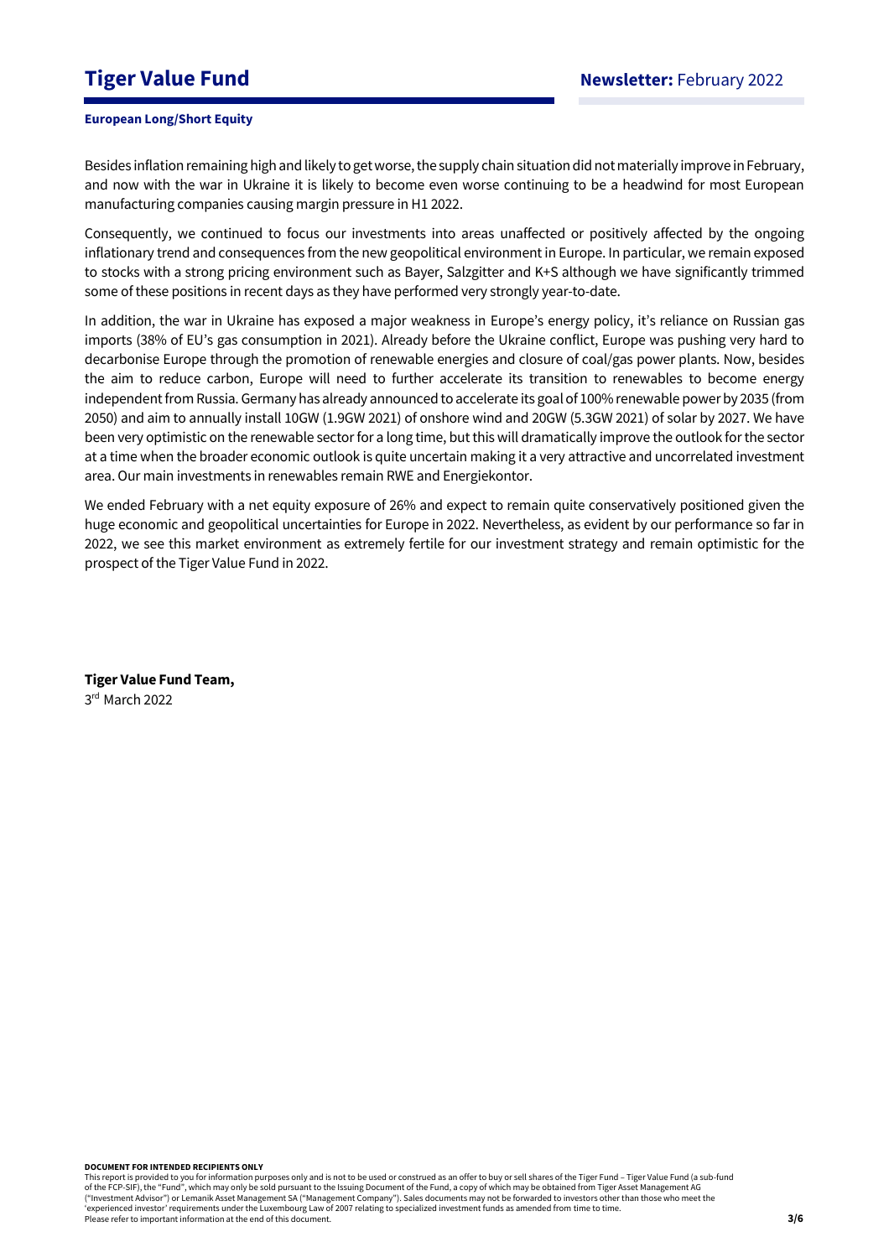# **Tiger Value Fund Newsletter:** February 2022

### **European Long/Short Equity**

Besides inflation remaining high and likely to get worse, the supply chain situation did not materially improve in February, and now with the war in Ukraine it is likely to become even worse continuing to be a headwind for most European manufacturing companies causing margin pressure in H1 2022.

Consequently, we continued to focus our investments into areas unaffected or positively affected by the ongoing inflationary trend and consequences from the new geopolitical environment in Europe. In particular, we remain exposed to stocks with a strong pricing environment such as Bayer, Salzgitter and K+S although we have significantly trimmed some of these positions in recent days as they have performed very strongly year-to-date.

In addition, the war in Ukraine has exposed a major weakness in Europe's energy policy, it's reliance on Russian gas imports (38% of EU's gas consumption in 2021). Already before the Ukraine conflict, Europe was pushing very hard to decarbonise Europe through the promotion of renewable energies and closure of coal/gas power plants. Now, besides the aim to reduce carbon, Europe will need to further accelerate its transition to renewables to become energy independent from Russia. Germany has already announced to accelerate its goal of 100% renewable power by 2035 (from 2050) and aim to annually install 10GW (1.9GW 2021) of onshore wind and 20GW (5.3GW 2021) of solar by 2027. We have been very optimistic on the renewable sector for a long time, but this will dramatically improve the outlook for the sector at a time when the broader economic outlook is quite uncertain making it a very attractive and uncorrelated investment area. Our main investments in renewables remain RWE and Energiekontor.

We ended February with a net equity exposure of 26% and expect to remain quite conservatively positioned given the huge economic and geopolitical uncertainties for Europe in 2022. Nevertheless, as evident by our performance so far in 2022, we see this market environment as extremely fertile for our investment strategy and remain optimistic for the prospect of the Tiger Value Fund in 2022.

**Tiger Value Fund Team,**  3 rd March 2022

**DOCUMENT FOR INTENDED RECIPIENTS ONLY**

This report is provided to you for information purposes only and is not to be used or construed as an offer to buy or sell shares of the Tiger Fund – Tiger Value Fund (a sub-fund of the FCP-SIF), the "Fund", which may only be sold pursuant to the Issuing Document of the Fund, a copy of which may be obtained from Tiger Asset Management AG ("Investment Advisor") or Lemanik Asset Management SA ("Management Company"). Sales documents may not be forwarded to investors other than those who meet the 'experienced investor' requirements under the Luxembourg Law of 2007 relating to specialized investment funds as amended from time to time. Please refer to important information at the end of this document.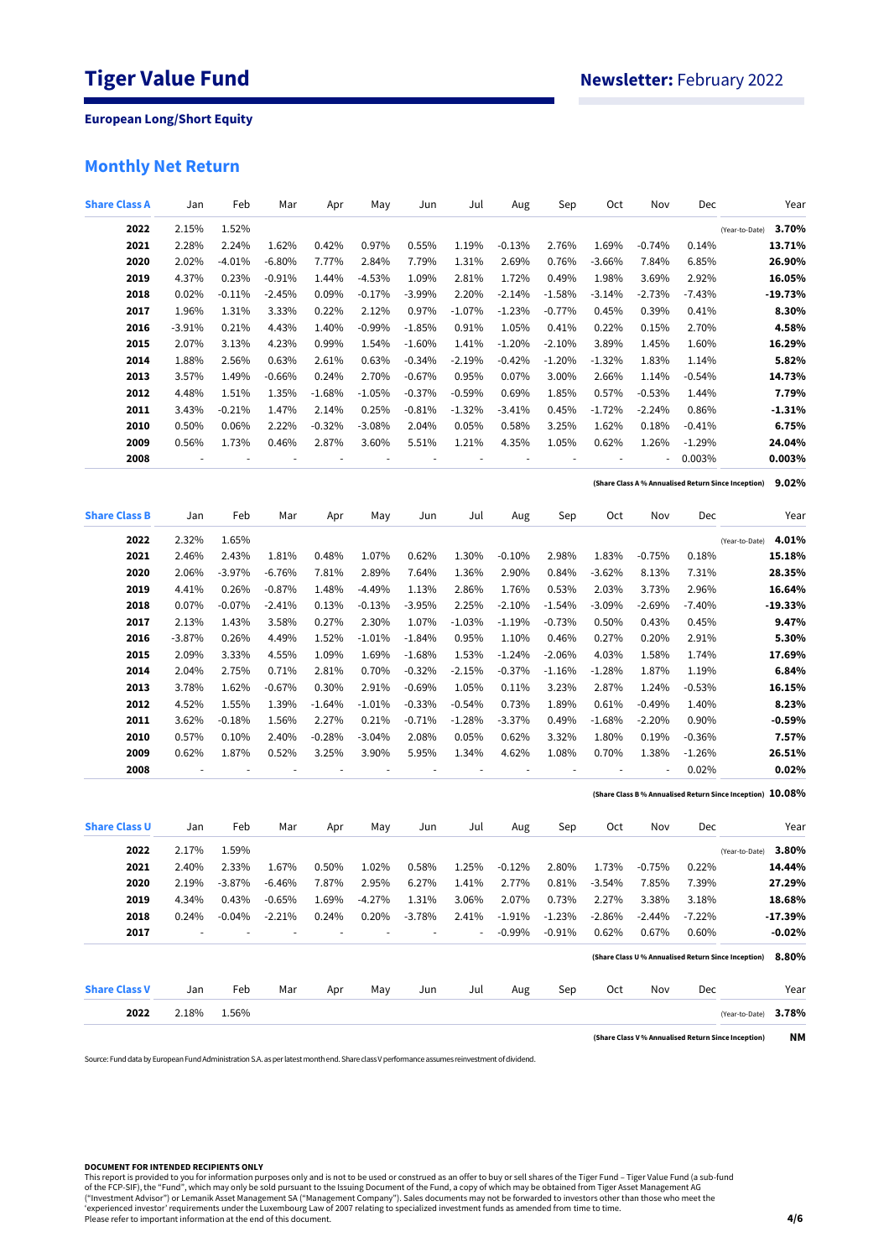# **Monthly Net Return**

| <b>Share Class A</b> | Jan      | Feb      | Mar       | Apr      | May       | Jun      | Jul      | Aug       | Sep      | Oct      | Nov      | Dec       |                                                            | Year      |
|----------------------|----------|----------|-----------|----------|-----------|----------|----------|-----------|----------|----------|----------|-----------|------------------------------------------------------------|-----------|
| 2022                 | 2.15%    | 1.52%    |           |          |           |          |          |           |          |          |          |           | (Year-to-Date)                                             | 3.70%     |
| 2021                 | 2.28%    | 2.24%    | 1.62%     | 0.42%    | 0.97%     | 0.55%    | 1.19%    | $-0.13%$  | 2.76%    | 1.69%    | $-0.74%$ | 0.14%     |                                                            | 13.71%    |
| 2020                 | 2.02%    | $-4.01%$ | $-6.80%$  | 7.77%    | 2.84%     | 7.79%    | 1.31%    | 2.69%     | 0.76%    | $-3.66%$ | 7.84%    | 6.85%     |                                                            | 26.90%    |
| 2019                 | 4.37%    | 0.23%    | $-0.91%$  | 1.44%    | $-4.53%$  | 1.09%    | 2.81%    | 1.72%     | 0.49%    | 1.98%    | 3.69%    | 2.92%     |                                                            | 16.05%    |
| 2018                 | 0.02%    | $-0.11%$ | $-2.45%$  | 0.09%    | $-0.17%$  | $-3.99%$ | 2.20%    | $-2.14%$  | $-1.58%$ | $-3.14%$ | $-2.73%$ | $-7.43%$  |                                                            | $-19.73%$ |
| 2017                 | 1.96%    | 1.31%    | 3.33%     | 0.22%    | 2.12%     | 0.97%    | $-1.07%$ | $-1.23%$  | $-0.77%$ | 0.45%    | 0.39%    | 0.41%     |                                                            | 8.30%     |
| 2016                 | $-3.91%$ | 0.21%    | 4.43%     | 1.40%    | $-0.99%$  | $-1.85%$ | 0.91%    | 1.05%     | 0.41%    | 0.22%    | 0.15%    | 2.70%     |                                                            | 4.58%     |
| 2015                 | 2.07%    | 3.13%    | 4.23%     | 0.99%    | 1.54%     | $-1.60%$ | 1.41%    | $-1.20\%$ | $-2.10%$ | 3.89%    | 1.45%    | 1.60%     |                                                            | 16.29%    |
| 2014                 | 1.88%    | 2.56%    | 0.63%     | 2.61%    | 0.63%     | $-0.34%$ | $-2.19%$ | $-0.42%$  | $-1.20%$ | $-1.32%$ | 1.83%    | 1.14%     |                                                            | 5.82%     |
| 2013                 | 3.57%    | 1.49%    | $-0.66%$  | 0.24%    | 2.70%     | $-0.67%$ | 0.95%    | 0.07%     | 3.00%    | 2.66%    | 1.14%    | $-0.54%$  |                                                            | 14.73%    |
| 2012                 | 4.48%    | 1.51%    | 1.35%     | $-1.68%$ | $-1.05%$  | $-0.37%$ | $-0.59%$ | 0.69%     | 1.85%    | 0.57%    | $-0.53%$ | 1.44%     |                                                            | 7.79%     |
| 2011                 | 3.43%    | $-0.21%$ | 1.47%     | 2.14%    | 0.25%     | $-0.81%$ | $-1.32%$ | -3.41%    | 0.45%    | $-1.72%$ | $-2.24%$ | 0.86%     |                                                            | $-1.31%$  |
| 2010                 |          | 0.06%    |           |          |           | 2.04%    | 0.05%    |           |          |          |          |           |                                                            | 6.75%     |
|                      | 0.50%    |          | 2.22%     | $-0.32%$ | $-3.08%$  |          |          | 0.58%     | 3.25%    | 1.62%    | 0.18%    | $-0.41%$  |                                                            |           |
| 2009                 | 0.56%    | 1.73%    | 0.46%     | 2.87%    | 3.60%     | 5.51%    | 1.21%    | 4.35%     | 1.05%    | 0.62%    | 1.26%    | $-1.29%$  |                                                            | 24.04%    |
| 2008                 |          |          |           |          |           |          |          |           |          |          |          | 0.003%    |                                                            | 0.003%    |
|                      |          |          |           |          |           |          |          |           |          |          |          |           | (Share Class A % Annualised Return Since Inception)        | 9.02%     |
| <b>Share Class B</b> | Jan      | Feb      | Mar       | Apr      | May       | Jun      | Jul      | Aug       | Sep      | Oct      | Nov      | Dec       |                                                            | Year      |
| 2022                 | 2.32%    | 1.65%    |           |          |           |          |          |           |          |          |          |           | (Year-to-Date)                                             | 4.01%     |
| 2021                 | 2.46%    | 2.43%    | 1.81%     | 0.48%    | 1.07%     | 0.62%    | 1.30%    | $-0.10%$  | 2.98%    | 1.83%    | $-0.75%$ | 0.18%     |                                                            | 15.18%    |
| 2020                 | 2.06%    | $-3.97%$ | $-6.76%$  | 7.81%    | 2.89%     | 7.64%    | 1.36%    | 2.90%     | 0.84%    | $-3.62%$ | 8.13%    | 7.31%     |                                                            | 28.35%    |
| 2019                 | 4.41%    | 0.26%    | $-0.87%$  | 1.48%    | $-4.49%$  | 1.13%    | 2.86%    | 1.76%     | 0.53%    | 2.03%    | 3.73%    | 2.96%     |                                                            | 16.64%    |
| 2018                 | 0.07%    | $-0.07%$ | $-2.41%$  | 0.13%    | $-0.13%$  | $-3.95%$ | 2.25%    | $-2.10%$  | $-1.54%$ | $-3.09%$ | $-2.69%$ | $-7.40\%$ |                                                            | $-19.33%$ |
| 2017                 | 2.13%    | 1.43%    | 3.58%     | 0.27%    | 2.30%     | 1.07%    | $-1.03%$ | $-1.19\%$ | $-0.73%$ | 0.50%    | 0.43%    | 0.45%     |                                                            | 9.47%     |
| 2016                 | $-3.87%$ | 0.26%    | 4.49%     | 1.52%    | $-1.01%$  | $-1.84%$ | 0.95%    | 1.10%     | 0.46%    | 0.27%    | 0.20%    | 2.91%     |                                                            | 5.30%     |
| 2015                 | 2.09%    | 3.33%    | 4.55%     | 1.09%    | 1.69%     | $-1.68%$ | 1.53%    | $-1.24%$  | $-2.06%$ | 4.03%    | 1.58%    | 1.74%     |                                                            | 17.69%    |
| 2014                 |          | 2.75%    |           | 2.81%    | 0.70%     |          | $-2.15%$ |           |          | $-1.28%$ |          | 1.19%     |                                                            | 6.84%     |
|                      | 2.04%    |          | 0.71%     |          |           | $-0.32%$ |          | $-0.37\%$ | $-1.16%$ |          | 1.87%    |           |                                                            |           |
| 2013                 | 3.78%    | 1.62%    | $-0.67\%$ | 0.30%    | 2.91%     | $-0.69%$ | 1.05%    | 0.11%     | 3.23%    | 2.87%    | 1.24%    | $-0.53\%$ |                                                            | 16.15%    |
| 2012                 | 4.52%    | 1.55%    | 1.39%     | $-1.64%$ | $-1.01%$  | $-0.33%$ | $-0.54%$ | 0.73%     | 1.89%    | 0.61%    | $-0.49%$ | 1.40%     |                                                            | 8.23%     |
| 2011                 | 3.62%    | $-0.18%$ | 1.56%     | 2.27%    | 0.21%     | $-0.71%$ | $-1.28%$ | $-3.37\%$ | 0.49%    | $-1.68%$ | $-2.20%$ | 0.90%     |                                                            | -0.59%    |
| 2010                 | 0.57%    | 0.10%    | 2.40%     | $-0.28%$ | $-3.04%$  | 2.08%    | 0.05%    | 0.62%     | 3.32%    | 1.80%    | 0.19%    | $-0.36\%$ |                                                            | 7.57%     |
| 2009                 | 0.62%    | 1.87%    | 0.52%     | 3.25%    | 3.90%     | 5.95%    | 1.34%    | 4.62%     | 1.08%    | 0.70%    | 1.38%    | $-1.26%$  |                                                            | 26.51%    |
| 2008                 |          |          |           |          |           |          |          |           |          |          |          | 0.02%     |                                                            | 0.02%     |
|                      |          |          |           |          |           |          |          |           |          |          |          |           | (Share Class B % Annualised Return Since Inception) 10.08% |           |
| <b>Share Class U</b> | Jan      | Feb      | Mar       | Apr      | May       | Jun      | Jul      | Aug       | Sep      | Oct      | Nov      | Dec       |                                                            | Year      |
| 2022                 | 2.17%    | 1.59%    |           |          |           |          |          |           |          |          |          |           | (Year-to-Date)                                             | 3.80%     |
| 2021                 | 2.40%    | 2.33%    | 1.67%     | 0.50%    | 1.02%     | 0.58%    | 1.25%    | $-0.12%$  | 2.80%    | 1.73%    | $-0.75%$ | 0.22%     |                                                            | 14.44%    |
| 2020                 | 2.19%    | $-3.87%$ | $-6.46%$  | 7.87%    | 2.95%     | 6.27%    | 1.41%    | 2.77%     | 0.81%    | $-3.54%$ | 7.85%    | 7.39%     |                                                            | 27.29%    |
| 2019                 | 4.34%    | 0.43%    | $-0.65%$  | 1.69%    | $-4.27\%$ | 1.31%    | 3.06%    | 2.07%     | 0.73%    | 2.27%    | 3.38%    | 3.18%     |                                                            | 18.68%    |
| 2018                 | 0.24%    | $-0.04%$ | $-2.21%$  | 0.24%    | 0.20%     | $-3.78%$ | 2.41%    | $-1.91\%$ | $-1.23%$ | $-2.86%$ | -2.44%   | -7.22%    |                                                            | -17.39%   |
| 2017                 |          |          |           | ÷,       | ä,        | $\sim$   | ÷,       | $-0.99\%$ | $-0.91%$ | 0.62%    | 0.67%    | 0.60%     |                                                            | $-0.02%$  |
|                      |          |          |           |          |           |          |          |           |          |          |          |           | (Share Class U % Annualised Return Since Inception)        | 8.80%     |
| <b>Share Class V</b> | Jan      | Feb      | Mar       | Apr      | May       | Jun      | Jul      | Aug       | Sep      | Oct      | Nov      | Dec       |                                                            | Year      |
| 2022                 | 2.18%    | 1.56%    |           |          |           |          |          |           |          |          |          |           |                                                            | 3.78%     |
|                      |          |          |           |          |           |          |          |           |          |          |          |           | (Year-to-Date)                                             |           |
|                      |          |          |           |          |           |          |          |           |          |          |          |           | (Share Class V% Annualised Return Since Inception)         | NΜ        |

Source: Fund data by European Fund Administration S.A. as per latest month end. Share class V performance assumes reinvestment of dividend.

#### **DOCUMENT FOR INTENDED RECIPIENTS ONLY**

This report is provided to you for information purposes only and is not to be used or construed as an offer to buy or sell shares of the Tiger Fund – Tiger Value Fund (a sub-fund<br>of the FCP-SIF), the "Fund", which may only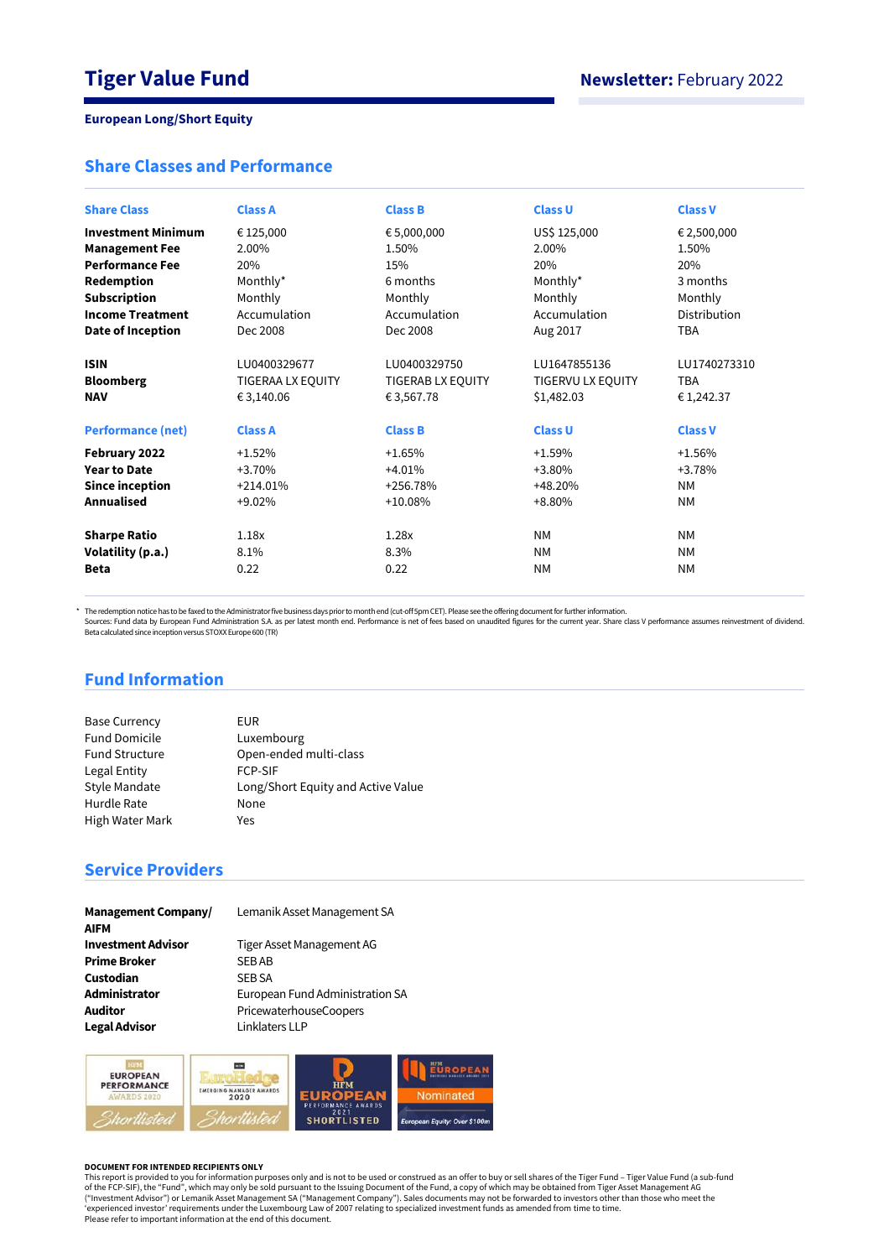## **Share Classes and Performance**

| <b>Share Class</b>        | <b>Class A</b>    | <b>Class B</b>    | <b>Class U</b>    | <b>Class V</b> |
|---------------------------|-------------------|-------------------|-------------------|----------------|
| <b>Investment Minimum</b> | € 125,000         | € 5,000,000       | US\$ 125,000      | € 2,500,000    |
| <b>Management Fee</b>     | 2.00%             | 1.50%             | 2.00%             | 1.50%          |
| <b>Performance Fee</b>    | 20%               | 15%               | 20%               | 20%            |
| Redemption                | Monthly*          | 6 months          | Monthly*          | 3 months       |
| <b>Subscription</b>       | Monthly           | Monthly           | Monthly           | Monthly        |
| <b>Income Treatment</b>   | Accumulation      | Accumulation      | Accumulation      | Distribution   |
| Date of Inception         | Dec 2008          | Dec 2008          | Aug 2017          | <b>TBA</b>     |
|                           |                   |                   |                   |                |
| <b>ISIN</b>               | LU0400329677      | LU0400329750      | LU1647855136      | LU1740273310   |
| <b>Bloomberg</b>          | TIGERAA LX EQUITY | TIGERAB LX EQUITY | TIGERVU LX EQUITY | <b>TBA</b>     |
| <b>NAV</b>                | € 3,140.06        | € 3,567.78        | \$1,482.03        | €1,242.37      |
| <b>Performance (net)</b>  | <b>Class A</b>    | <b>Class B</b>    | <b>Class U</b>    | <b>Class V</b> |
| February 2022             | $+1.52%$          | $+1.65%$          | $+1.59%$          | $+1.56%$       |
| <b>Year to Date</b>       | $+3.70%$          | $+4.01%$          | $+3.80%$          | +3.78%         |
| <b>Since inception</b>    | $+214.01%$        | +256.78%          | +48.20%           | <b>NM</b>      |
| <b>Annualised</b>         | $+9.02%$          | $+10.08%$         | +8.80%            | <b>NM</b>      |
|                           |                   |                   |                   |                |
| <b>Sharpe Ratio</b>       | 1.18x             | 1.28x             | <b>NM</b>         | <b>NM</b>      |
| Volatility (p.a.)         | 8.1%              | 8.3%              | <b>NM</b>         | <b>NM</b>      |
| <b>Beta</b>               | 0.22              | 0.22              | <b>NM</b>         | <b>NM</b>      |
|                           |                   |                   |                   |                |

\* The redemption notice has to be faxed to the Administrator five business days prior to month end (cut-off 5pm CET). Please see the offering document for further information.

Sources: Fund data by European Fund Administration S.A. as per latest month end. Performance is net of fees based on unaudited figures for the current year. Share class V performance assumes reinvestment of dividend.<br>Beta

# **Fund Information**

| <b>Base Currency</b>  | EUR.                               |
|-----------------------|------------------------------------|
| <b>Fund Domicile</b>  | Luxembourg                         |
| <b>Fund Structure</b> | Open-ended multi-class             |
| Legal Entity          | <b>FCP-SIF</b>                     |
| <b>Style Mandate</b>  | Long/Short Equity and Active Value |
| Hurdle Rate           | None                               |
| High Water Mark       | Yes                                |

# **Service Providers**

| <b>Management Company/</b> |
|----------------------------|
| <b>AIFM</b>                |
| <b>Investment Advisor</b>  |
| <b>Prime Broker</b>        |
| Custodian                  |
| Administrator              |
| <b>Auditor</b>             |
| <b>Legal Advisor</b>       |

Lemanik Asset Management SA

**Investment Advisor** Tiger Asset Management AG **SEB AB SEB SA Administrator** European Fund Administration SA **Auditor** PricewaterhouseCoopers Linklaters LLP



#### **DOCUMENT FOR INTENDED RECIPIENTS ONLY**

This report is provided to you for information purposes only and is not to be used or construed as an offer to buy or sell shares of the Tiger Fund – Tiger Value Fund (a sub-fund<br>of the FCP-SIF), the "Fund", which may only ("Investment Advisor") or Lemanik Asset Management SA ("Management Company"). Sales documents may not be forwarded to investors other than those who meet the<br>'experienced investor' requirements under the Luxembourg Law of Please refer to important information at the end of this document.